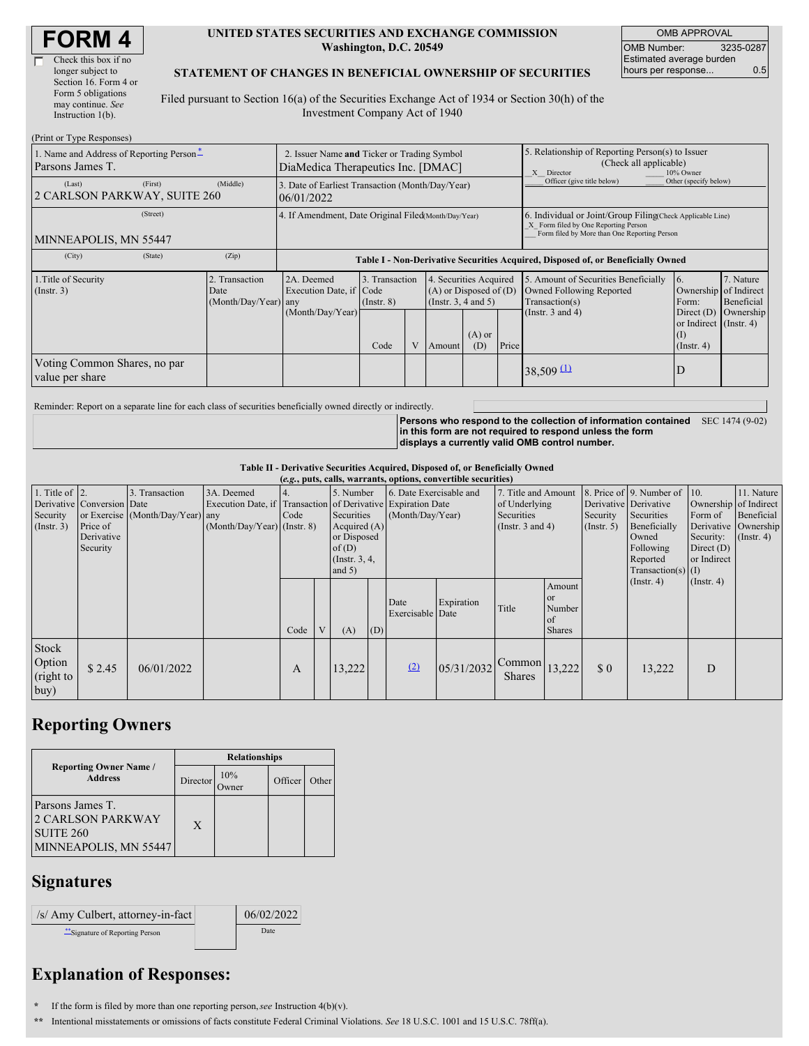| <b>FORM4</b> |
|--------------|
|--------------|

| Check this box if no  |
|-----------------------|
| longer subject to     |
| Section 16. Form 4 or |
| Form 5 obligations    |
| may continue. See     |
| Instruction $1(b)$ .  |
|                       |

#### **UNITED STATES SECURITIES AND EXCHANGE COMMISSION Washington, D.C. 20549**

OMB APPROVAL OMB Number: 3235-0287 Estimated average burden hours per response... 0.5

### **STATEMENT OF CHANGES IN BENEFICIAL OWNERSHIP OF SECURITIES**

Filed pursuant to Section 16(a) of the Securities Exchange Act of 1934 or Section 30(h) of the Investment Company Act of 1940

| (Print or Type Responses)                                    |                                                                                                                                                                                                                               |                                                      |                                                                                  |                                                                                                                    |                              |                                                               |                                                                                                       |                                                                                                                                                    |                            |                                                   |  |
|--------------------------------------------------------------|-------------------------------------------------------------------------------------------------------------------------------------------------------------------------------------------------------------------------------|------------------------------------------------------|----------------------------------------------------------------------------------|--------------------------------------------------------------------------------------------------------------------|------------------------------|---------------------------------------------------------------|-------------------------------------------------------------------------------------------------------|----------------------------------------------------------------------------------------------------------------------------------------------------|----------------------------|---------------------------------------------------|--|
| 1. Name and Address of Reporting Person-<br>Parsons James T. | 2. Issuer Name and Ticker or Trading Symbol<br>DiaMedica Therapeutics Inc. [DMAC]                                                                                                                                             |                                                      |                                                                                  |                                                                                                                    |                              |                                                               | 5. Relationship of Reporting Person(s) to Issuer<br>(Check all applicable)<br>X Director<br>10% Owner |                                                                                                                                                    |                            |                                                   |  |
| (Last)<br>2 CARLSON PARKWAY, SUITE 260                       | (First)                                                                                                                                                                                                                       | (Middle)                                             | 3. Date of Earliest Transaction (Month/Day/Year)<br>06/01/2022                   |                                                                                                                    |                              |                                                               |                                                                                                       |                                                                                                                                                    | Officer (give title below) | Other (specify below)                             |  |
| MINNEAPOLIS, MN 55447                                        |                                                                                                                                                                                                                               | 4. If Amendment, Date Original Filed(Month/Day/Year) |                                                                                  |                                                                                                                    |                              |                                                               |                                                                                                       | 6. Individual or Joint/Group Filing(Check Applicable Line)<br>X Form filed by One Reporting Person<br>Form filed by More than One Reporting Person |                            |                                                   |  |
| (City)                                                       | (State)                                                                                                                                                                                                                       | (Zip)                                                | Table I - Non-Derivative Securities Acquired, Disposed of, or Beneficially Owned |                                                                                                                    |                              |                                                               |                                                                                                       |                                                                                                                                                    |                            |                                                   |  |
| 1. Title of Security<br>$($ Instr. 3 $)$                     | 2A. Deemed<br>4. Securities Acquired<br>Transaction<br>3. Transaction<br>$(A)$ or Disposed of $(D)$<br>Execution Date, if Code<br>Date<br>(Month/Day/Year) any<br>(Insert. 3, 4 and 5)<br>$($ Instr. $8)$<br>(Month/Day/Year) |                                                      |                                                                                  | 5. Amount of Securities Beneficially<br><b>Owned Following Reported</b><br>Transaction(s)<br>(Instr. $3$ and $4$ ) | 16.<br>Form:<br>Direct $(D)$ | 7. Nature<br>Ownership of Indirect<br>Beneficial<br>Ownership |                                                                                                       |                                                                                                                                                    |                            |                                                   |  |
|                                                              |                                                                                                                                                                                                                               |                                                      |                                                                                  | Code                                                                                                               |                              | Amount                                                        | $(A)$ or<br>(D)                                                                                       | Price                                                                                                                                              |                            | or Indirect (Instr. 4)<br>(I)<br>$($ Instr. 4 $)$ |  |
| Voting Common Shares, no par<br>value per share              |                                                                                                                                                                                                                               |                                                      |                                                                                  |                                                                                                                    |                              |                                                               |                                                                                                       |                                                                                                                                                    | $38,509$ (1)               | D                                                 |  |

Reminder: Report on a separate line for each class of securities beneficially owned directly or indirectly.

**Persons who respond to the collection of information contained** SEC 1474 (9-02) **in this form are not required to respond unless the form displays a currently valid OMB control number.**

#### **Table II - Derivative Securities Acquired, Disposed of, or Beneficially Owned**

| (e.g., puts, calls, warrants, options, convertible securities) |                            |                                  |                                                              |      |   |                 |     |                          |            |                                           |               |                       |                          |                       |            |
|----------------------------------------------------------------|----------------------------|----------------------------------|--------------------------------------------------------------|------|---|-----------------|-----|--------------------------|------------|-------------------------------------------|---------------|-----------------------|--------------------------|-----------------------|------------|
| 1. Title of $ 2$ .                                             |                            | 3. Transaction                   | 3A. Deemed                                                   |      |   | 5. Number       |     | 6. Date Exercisable and  |            | 7. Title and Amount                       |               |                       | 8. Price of 9. Number of | 10.                   | 11. Nature |
|                                                                | Derivative Conversion Date |                                  | Execution Date, if Transaction of Derivative Expiration Date |      |   |                 |     |                          |            | of Underlying                             |               | Derivative Derivative |                          | Ownership of Indirect |            |
| Security                                                       |                            | or Exercise (Month/Day/Year) any |                                                              | Code |   | Securities      |     | (Month/Day/Year)         |            | Securities                                |               | Security              | Securities               | Form of               | Beneficial |
| $($ Instr. 3 $)$                                               | Price of                   |                                  | $(Month/Day/Year)$ (Instr. 8)                                |      |   | Acquired $(A)$  |     | (Instr. 3 and 4)         |            | (Insert. 5)                               | Beneficially  | Derivative Ownership  |                          |                       |            |
|                                                                | Derivative                 |                                  |                                                              |      |   | or Disposed     |     |                          |            |                                           | Owned         | Security:             | $($ Instr. 4)            |                       |            |
|                                                                | Security                   |                                  |                                                              |      |   | of(D)           |     |                          |            |                                           |               |                       | Following                | Direct $(D)$          |            |
|                                                                |                            |                                  |                                                              |      |   | (Instr. $3, 4,$ |     |                          |            |                                           |               |                       | Reported                 | or Indirect           |            |
|                                                                |                            |                                  |                                                              |      |   | and $5)$        |     |                          |            |                                           |               |                       | Transaction(s) $(I)$     |                       |            |
|                                                                |                            |                                  |                                                              |      |   |                 |     |                          |            |                                           | Amount        |                       | $($ Instr. 4 $)$         | $($ Instr. 4 $)$      |            |
|                                                                |                            |                                  |                                                              |      |   |                 |     |                          |            |                                           | <b>or</b>     |                       |                          |                       |            |
|                                                                |                            |                                  |                                                              |      |   |                 |     | Date<br>Exercisable Date | Expiration | Title                                     | Number        |                       |                          |                       |            |
|                                                                |                            |                                  |                                                              |      |   |                 |     |                          |            |                                           | <sub>of</sub> |                       |                          |                       |            |
|                                                                |                            |                                  |                                                              | Code | V | (A)             | (D) |                          |            |                                           | <b>Shares</b> |                       |                          |                       |            |
| Stock<br>Option<br>(right to                                   | \$2.45                     | 06/01/2022                       |                                                              | A    |   | 13,222          |     | (2)                      | 05/31/2032 | $\sim$ Common $ 13,222 $<br><b>Shares</b> |               | $\Omega$              | 13,222                   | D                     |            |
| buy)                                                           |                            |                                  |                                                              |      |   |                 |     |                          |            |                                           |               |                       |                          |                       |            |

### **Reporting Owners**

|                                                                                    | <b>Relationships</b> |     |         |       |  |  |  |  |
|------------------------------------------------------------------------------------|----------------------|-----|---------|-------|--|--|--|--|
| <b>Reporting Owner Name /</b><br><b>Address</b>                                    | Director             | 10% | Officer | Other |  |  |  |  |
| Parsons James T.<br><b>2 CARLSON PARKWAY</b><br>SUITE 260<br>MINNEAPOLIS, MN 55447 | X                    |     |         |       |  |  |  |  |

## **Signatures**

| /s/ Amy Culbert, attorney-in-fact | 06/02/2022 |
|-----------------------------------|------------|
| "Signature of Reporting Person    | Date       |

# **Explanation of Responses:**

**\*** If the form is filed by more than one reporting person,*see* Instruction 4(b)(v).

**\*\*** Intentional misstatements or omissions of facts constitute Federal Criminal Violations. *See* 18 U.S.C. 1001 and 15 U.S.C. 78ff(a).